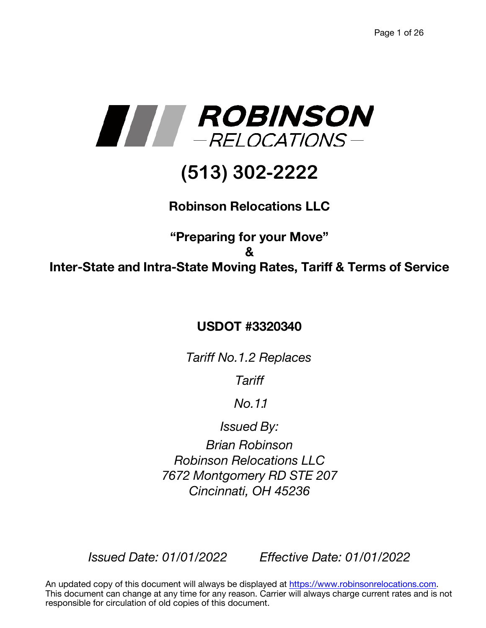

# **(513) 302-2222**

## **Robinson Relocations LLC**

## **"Preparing for your Move" & Inter-State and Intra-State Moving Rates, Tariff & Terms of Service**

### **USDOT #3320340**

*Tariff No.1.2 Replaces*

*Tariff* 

*No.1.1*

*Issued By:*

*Brian Robinson Robinson Relocations LLC 7672 Montgomery RD STE 207 Cincinnati, OH 45236*

*Issued Date: 01/01/2022 Effective Date: 01/01/2022* 

An updated copy of this document will always be displayed at https://www.robinsonrelocations.com. This document can change at any time for any reason. Carrier will always charge current rates and is not responsible for circulation of old copies of this document.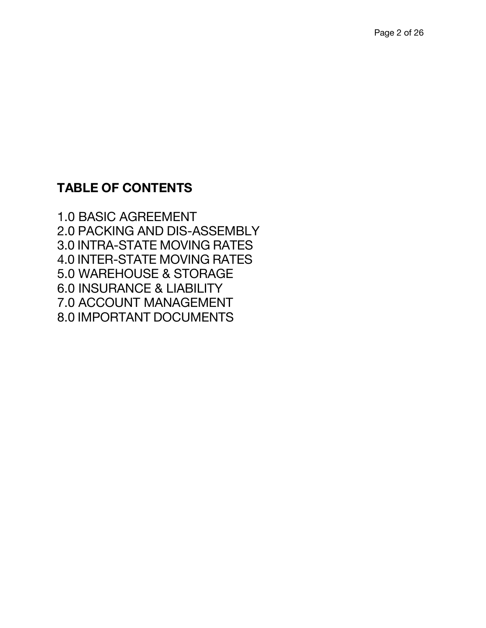## **TABLE OF CONTENTS**

1.0 BASIC AGREEMENT 2.0 PACKING AND DIS-ASSEMBLY 3.0 INTRA-STATE MOVING RATES 4.0 INTER-STATE MOVING RATES 5.0 WAREHOUSE & STORAGE 6.0 INSURANCE & LIABILITY 7.0 ACCOUNT MANAGEMENT 8.0 IMPORTANT DOCUMENTS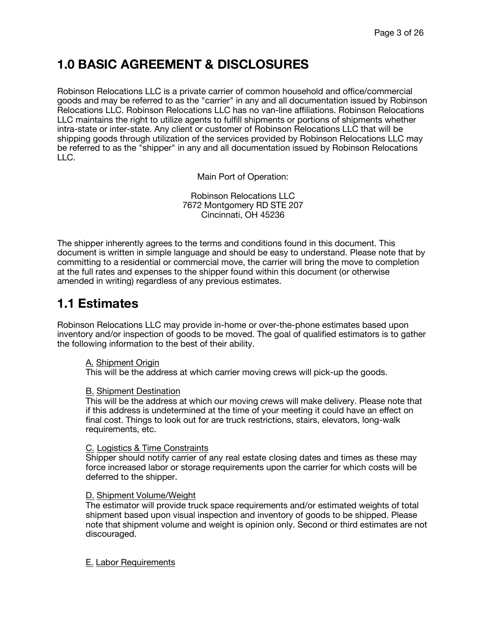## **1.0 BASIC AGREEMENT & DISCLOSURES**

Robinson Relocations LLC is a private carrier of common household and office/commercial goods and may be referred to as the "carrier" in any and all documentation issued by Robinson Relocations LLC. Robinson Relocations LLC has no van-line affiliations. Robinson Relocations LLC maintains the right to utilize agents to fulfill shipments or portions of shipments whether intra-state or inter-state. Any client or customer of Robinson Relocations LLC that will be shipping goods through utilization of the services provided by Robinson Relocations LLC may be referred to as the "shipper" in any and all documentation issued by Robinson Relocations LLC.

Main Port of Operation:

Robinson Relocations LLC 7672 Montgomery RD STE 207 Cincinnati, OH 45236

The shipper inherently agrees to the terms and conditions found in this document. This document is written in simple language and should be easy to understand. Please note that by committing to a residential or commercial move, the carrier will bring the move to completion at the full rates and expenses to the shipper found within this document (or otherwise amended in writing) regardless of any previous estimates.

### **1.1 Estimates**

Robinson Relocations LLC may provide in-home or over-the-phone estimates based upon inventory and/or inspection of goods to be moved. The goal of qualified estimators is to gather the following information to the best of their ability.

#### A. Shipment Origin

This will be the address at which carrier moving crews will pick-up the goods.

#### B. Shipment Destination

This will be the address at which our moving crews will make delivery. Please note that if this address is undetermined at the time of your meeting it could have an effect on final cost. Things to look out for are truck restrictions, stairs, elevators, long-walk requirements, etc.

#### C. Logistics & Time Constraints

Shipper should notify carrier of any real estate closing dates and times as these may force increased labor or storage requirements upon the carrier for which costs will be deferred to the shipper.

#### D. Shipment Volume/Weight

The estimator will provide truck space requirements and/or estimated weights of total shipment based upon visual inspection and inventory of goods to be shipped. Please note that shipment volume and weight is opinion only. Second or third estimates are not discouraged.

#### E. Labor Requirements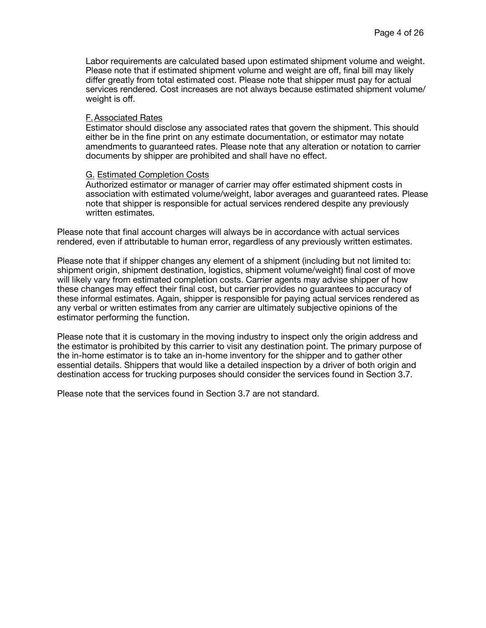Labor requirements are calculated based upon estimated shipment volume and weight. Please note that if estimated shipment volume and weight are off, final bill may likely differ greatly from total estimated cost. Please note that shipper must pay for actual services rendered. Cost increases are not always because estimated shipment volume/ weight is off.

#### F.Associated Rates

Estimator should disclose any associated rates that govern the shipment. This should either be in the fine print on any estimate documentation, or estimator may notate amendments to guaranteed rates. Please note that any alteration or notation to carrier documents by shipper are prohibited and shall have no effect.

#### G. Estimated Completion Costs

Authorized estimator or manager of carrier may offer estimated shipment costs in association with estimated volume/weight, labor averages and guaranteed rates. Please note that shipper is responsible for actual services rendered despite any previously written estimates.

Please note that final account charges will always be in accordance with actual services rendered, even if attributable to human error, regardless of any previously written estimates.

Please note that if shipper changes any element of a shipment (including but not limited to: shipment origin, shipment destination, logistics, shipment volume/weight) final cost of move will likely vary from estimated completion costs. Carrier agents may advise shipper of how these changes may effect their final cost, but carrier provides no guarantees to accuracy of these informal estimates. Again, shipper is responsible for paying actual services rendered as any verbal or written estimates from any carrier are ultimately subjective opinions of the estimator performing the function.

Please note that it is customary in the moving industry to inspect only the origin address and the estimator is prohibited by this carrier to visit any destination point. The primary purpose of the in-home estimator is to take an in-home inventory for the shipper and to gather other essential details. Shippers that would like a detailed inspection by a driver of both origin and destination access for trucking purposes should consider the services found in Section 3.7.

Please note that the services found in Section 3.7 are not standard.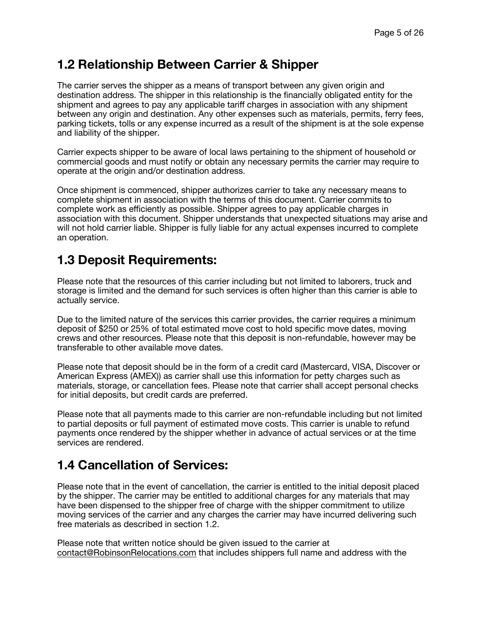#### **1.2 Relationship Between Carrier & Shipper**

The carrier serves the shipper as a means of transport between any given origin and destination address. The shipper in this relationship is the financially obligated entity for the shipment and agrees to pay any applicable tariff charges in association with any shipment between any origin and destination. Any other expenses such as materials, permits, ferry fees, parking tickets, tolls or any expense incurred as a result of the shipment is at the sole expense and liability of the shipper.

Carrier expects shipper to be aware of local laws pertaining to the shipment of household or commercial goods and must notify or obtain any necessary permits the carrier may require to operate at the origin and/or destination address.

Once shipment is commenced, shipper authorizes carrier to take any necessary means to complete shipment in association with the terms of this document. Carrier commits to complete work as efficiently as possible. Shipper agrees to pay applicable charges in association with this document. Shipper understands that unexpected situations may arise and will not hold carrier liable. Shipper is fully liable for any actual expenses incurred to complete an operation.

### **1.3 Deposit Requirements:**

Please note that the resources of this carrier including but not limited to laborers, truck and storage is limited and the demand for such services is often higher than this carrier is able to actually service.

Due to the limited nature of the services this carrier provides, the carrier requires a minimum deposit of \$250 or 25% of total estimated move cost to hold specific move dates, moving crews and other resources. Please note that this deposit is non-refundable, however may be transferable to other available move dates.

Please note that deposit should be in the form of a credit card (Mastercard, VISA, Discover or American Express (AMEX)) as carrier shall use this information for petty charges such as materials, storage, or cancellation fees. Please note that carrier shall accept personal checks for initial deposits, but credit cards are preferred.

Please note that all payments made to this carrier are non-refundable including but not limited to partial deposits or full payment of estimated move costs. This carrier is unable to refund payments once rendered by the shipper whether in advance of actual services or at the time services are rendered.

### **1.4 Cancellation of Services:**

Please note that in the event of cancellation, the carrier is entitled to the initial deposit placed by the shipper. The carrier may be entitled to additional charges for any materials that may have been dispensed to the shipper free of charge with the shipper commitment to utilize moving services of the carrier and any charges the carrier may have incurred delivering such free materials as described in section 1.2.

Please note that written notice should be given issued to the carrier at contact@RobinsonRelocations.com that includes shippers full name and address with the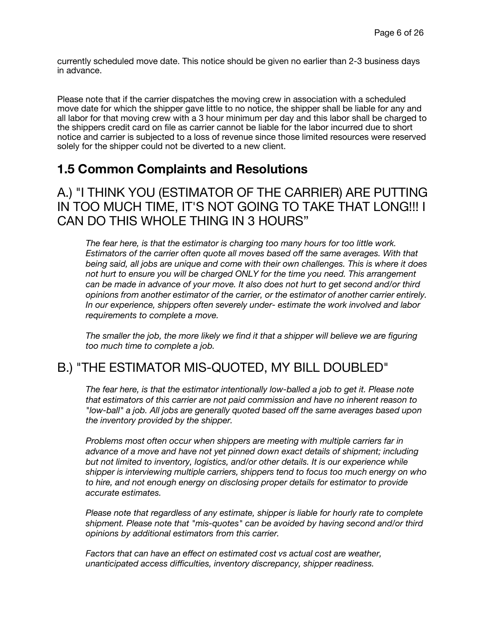currently scheduled move date. This notice should be given no earlier than 2-3 business days in advance.

Please note that if the carrier dispatches the moving crew in association with a scheduled move date for which the shipper gave little to no notice, the shipper shall be liable for any and all labor for that moving crew with a 3 hour minimum per day and this labor shall be charged to the shippers credit card on file as carrier cannot be liable for the labor incurred due to short notice and carrier is subjected to a loss of revenue since those limited resources were reserved solely for the shipper could not be diverted to a new client.

#### **1.5 Common Complaints and Resolutions**

#### A.) "I THINK YOU (ESTIMATOR OF THE CARRIER) ARE PUTTING IN TOO MUCH TIME, IT'S NOT GOING TO TAKE THAT LONG!!! I CAN DO THIS WHOLE THING IN 3 HOURS"

*The fear here, is that the estimator is charging too many hours for too little work. Estimators of the carrier often quote all moves based off the same averages. With that being said, all jobs are unique and come with their own challenges. This is where it does not hurt to ensure you will be charged ONLY for the time you need. This arrangement can be made in advance of your move. It also does not hurt to get second and/or third opinions from another estimator of the carrier, or the estimator of another carrier entirely. In our experience, shippers often severely under- estimate the work involved and labor requirements to complete a move.*

*The smaller the job, the more likely we find it that a shipper will believe we are figuring too much time to complete a job.*

### B.) "THE ESTIMATOR MIS-QUOTED, MY BILL DOUBLED"

*The fear here, is that the estimator intentionally low-balled a job to get it. Please note that estimators of this carrier are not paid commission and have no inherent reason to "low-ball" a job. All jobs are generally quoted based off the same averages based upon the inventory provided by the shipper.*

*Problems most often occur when shippers are meeting with multiple carriers far in advance of a move and have not yet pinned down exact details of shipment; including but not limited to inventory, logistics, and/or other details. It is our experience while shipper is interviewing multiple carriers, shippers tend to focus too much energy on who to hire, and not enough energy on disclosing proper details for estimator to provide accurate estimates.*

*Please note that regardless of any estimate, shipper is liable for hourly rate to complete shipment. Please note that "mis-quotes" can be avoided by having second and/or third opinions by additional estimators from this carrier.*

*Factors that can have an effect on estimated cost vs actual cost are weather, unanticipated access difficulties, inventory discrepancy, shipper readiness.*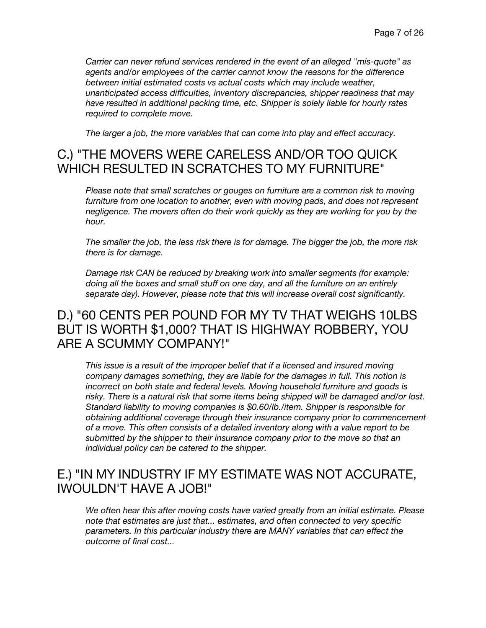*Carrier can never refund services rendered in the event of an alleged "mis-quote" as agents and/or employees of the carrier cannot know the reasons for the difference between initial estimated costs vs actual costs which may include weather, unanticipated access difficulties, inventory discrepancies, shipper readiness that may have resulted in additional packing time, etc. Shipper is solely liable for hourly rates required to complete move.*

*The larger a job, the more variables that can come into play and effect accuracy.*

#### C.) "THE MOVERS WERE CARELESS AND/OR TOO QUICK WHICH RESULTED IN SCRATCHES TO MY FURNITURE"

*Please note that small scratches or gouges on furniture are a common risk to moving furniture from one location to another, even with moving pads, and does not represent negligence. The movers often do their work quickly as they are working for you by the hour.*

*The smaller the job, the less risk there is for damage. The bigger the job, the more risk there is for damage.*

*Damage risk CAN be reduced by breaking work into smaller segments (for example: doing all the boxes and small stuff on one day, and all the furniture on an entirely separate day). However, please note that this will increase overall cost significantly.*

#### D.) "60 CENTS PER POUND FOR MY TV THAT WEIGHS 10LBS BUT IS WORTH \$1,000? THAT IS HIGHWAY ROBBERY, YOU ARE A SCUMMY COMPANY!"

*This issue is a result of the improper belief that if a licensed and insured moving company damages something, they are liable for the damages in full. This notion is incorrect on both state and federal levels. Moving household furniture and goods is risky. There is a natural risk that some items being shipped will be damaged and/or lost. Standard liability to moving companies is \$0.60/lb./item. Shipper is responsible for obtaining additional coverage through their insurance company prior to commencement of a move. This often consists of a detailed inventory along with a value report to be submitted by the shipper to their insurance company prior to the move so that an individual policy can be catered to the shipper.*

#### E.) "IN MY INDUSTRY IF MY ESTIMATE WAS NOT ACCURATE, IWOULDN'T HAVE A JOB!"

*We often hear this after moving costs have varied greatly from an initial estimate. Please note that estimates are just that... estimates, and often connected to very specific parameters. In this particular industry there are MANY variables that can effect the outcome of final cost...*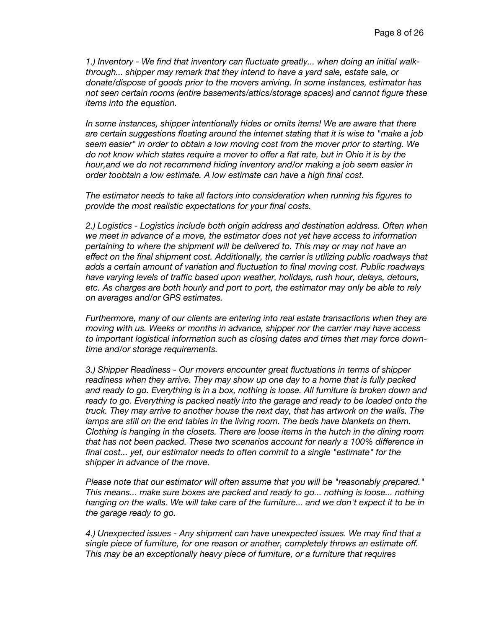*1.) Inventory - We find that inventory can fluctuate greatly... when doing an initial walkthrough... shipper may remark that they intend to have a yard sale, estate sale, or donate/dispose of goods prior to the movers arriving. In some instances, estimator has not seen certain rooms (entire basements/attics/storage spaces) and cannot figure these items into the equation.*

*In some instances, shipper intentionally hides or omits items! We are aware that there are certain suggestions floating around the internet stating that it is wise to "make a job seem easier" in order to obtain a low moving cost from the mover prior to starting. We do not know which states require a mover to offer a flat rate, but in Ohio it is by the hour,and we do not recommend hiding inventory and/or making a job seem easier in order toobtain a low estimate. A low estimate can have a high final cost.*

*The estimator needs to take all factors into consideration when running his figures to provide the most realistic expectations for your final costs.*

*2.) Logistics - Logistics include both origin address and destination address. Often when we meet in advance of a move, the estimator does not yet have access to information pertaining to where the shipment will be delivered to. This may or may not have an effect on the final shipment cost. Additionally, the carrier is utilizing public roadways that adds a certain amount of variation and fluctuation to final moving cost. Public roadways have varying levels of traffic based upon weather, holidays, rush hour, delays, detours, etc. As charges are both hourly and port to port, the estimator may only be able to rely on averages and/or GPS estimates.*

*Furthermore, many of our clients are entering into real estate transactions when they are moving with us. Weeks or months in advance, shipper nor the carrier may have access to important logistical information such as closing dates and times that may force downtime and/or storage requirements.*

*3.) Shipper Readiness - Our movers encounter great fluctuations in terms of shipper readiness when they arrive. They may show up one day to a home that is fully packed and ready to go. Everything is in a box, nothing is loose. All furniture is broken down and ready to go. Everything is packed neatly into the garage and ready to be loaded onto the truck. They may arrive to another house the next day, that has artwork on the walls. The* lamps are still on the end tables in the living room. The beds have blankets on them. *Clothing is hanging in the closets. There are loose items in the hutch in the dining room that has not been packed. These two scenarios account for nearly a 100% difference in final cost... yet, our estimator needs to often commit to a single "estimate" for the shipper in advance of the move.*

*Please note that our estimator will often assume that you will be "reasonably prepared." This means... make sure boxes are packed and ready to go... nothing is loose... nothing hanging on the walls. We will take care of the furniture... and we don't expect it to be in the garage ready to go.*

*4.) Unexpected issues - Any shipment can have unexpected issues. We may find that a single piece of furniture, for one reason or another, completely throws an estimate off. This may be an exceptionally heavy piece of furniture, or a furniture that requires*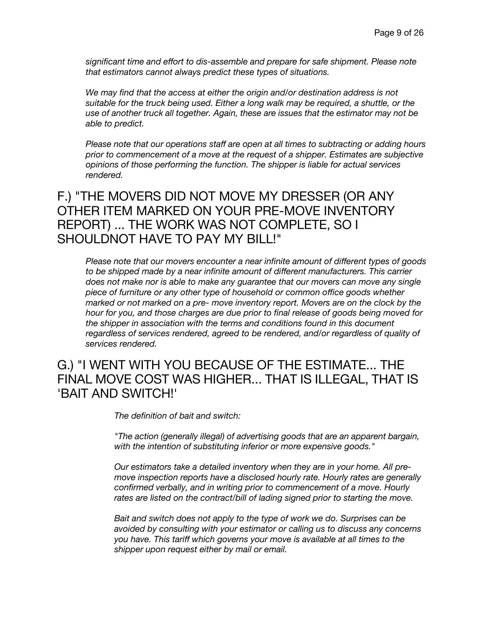*significant time and effort to dis-assemble and prepare for safe shipment. Please note that estimators cannot always predict these types of situations.*

*We may find that the access at either the origin and/or destination address is not suitable for the truck being used. Either a long walk may be required, a shuttle, or the use of another truck all together. Again, these are issues that the estimator may not be able to predict.*

*Please note that our operations staff are open at all times to subtracting or adding hours prior to commencement of a move at the request of a shipper. Estimates are subjective opinions of those performing the function. The shipper is liable for actual services rendered.*

#### F.) "THE MOVERS DID NOT MOVE MY DRESSER (OR ANY OTHER ITEM MARKED ON YOUR PRE-MOVE INVENTORY REPORT) ... THE WORK WAS NOT COMPLETE, SO I SHOULDNOT HAVE TO PAY MY BILL!"

*Please note that our movers encounter a near infinite amount of different types of goods to be shipped made by a near infinite amount of different manufacturers. This carrier does not make nor is able to make any guarantee that our movers can move any single piece of furniture or any other type of household or common office goods whether marked or not marked on a pre- move inventory report. Movers are on the clock by the hour for you, and those charges are due prior to final release of goods being moved for the shipper in association with the terms and conditions found in this document regardless of services rendered, agreed to be rendered, and/or regardless of quality of services rendered.*

#### G.) "I WENT WITH YOU BECAUSE OF THE ESTIMATE... THE FINAL MOVE COST WAS HIGHER... THAT IS ILLEGAL, THAT IS 'BAIT AND SWITCH!'

*The definition of bait and switch:*

*"The action (generally illegal) of advertising goods that are an apparent bargain, with the intention of substituting inferior or more expensive goods."*

*Our estimators take a detailed inventory when they are in your home. All premove inspection reports have a disclosed hourly rate. Hourly rates are generally confirmed verbally, and in writing prior to commencement of a move. Hourly rates are listed on the contract/bill of lading signed prior to starting the move.*

*Bait and switch does not apply to the type of work we do. Surprises can be avoided by consulting with your estimator or calling us to discuss any concerns you have. This tariff which governs your move is available at all times to the shipper upon request either by mail or email.*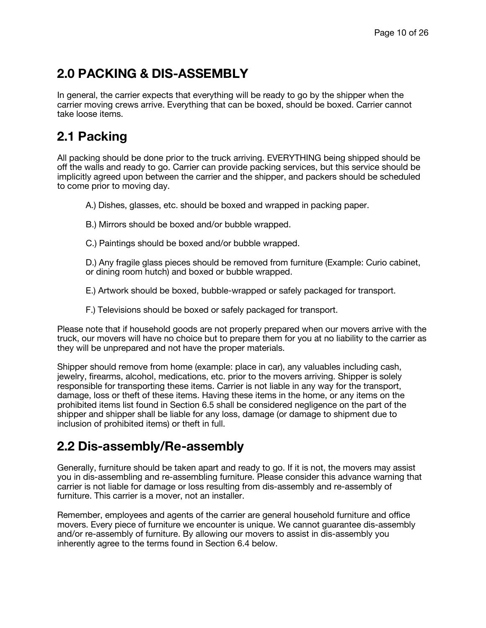## **2.0 PACKING & DIS-ASSEMBLY**

In general, the carrier expects that everything will be ready to go by the shipper when the carrier moving crews arrive. Everything that can be boxed, should be boxed. Carrier cannot take loose items.

## **2.1 Packing**

All packing should be done prior to the truck arriving. EVERYTHING being shipped should be off the walls and ready to go. Carrier can provide packing services, but this service should be implicitly agreed upon between the carrier and the shipper, and packers should be scheduled to come prior to moving day.

- A.) Dishes, glasses, etc. should be boxed and wrapped in packing paper.
- B.) Mirrors should be boxed and/or bubble wrapped.
- C.) Paintings should be boxed and/or bubble wrapped.

D.) Any fragile glass pieces should be removed from furniture (Example: Curio cabinet, or dining room hutch) and boxed or bubble wrapped.

E.) Artwork should be boxed, bubble-wrapped or safely packaged for transport.

F.) Televisions should be boxed or safely packaged for transport.

Please note that if household goods are not properly prepared when our movers arrive with the truck, our movers will have no choice but to prepare them for you at no liability to the carrier as they will be unprepared and not have the proper materials.

Shipper should remove from home (example: place in car), any valuables including cash, jewelry, firearms, alcohol, medications, etc. prior to the movers arriving. Shipper is solely responsible for transporting these items. Carrier is not liable in any way for the transport, damage, loss or theft of these items. Having these items in the home, or any items on the prohibited items list found in Section 6.5 shall be considered negligence on the part of the shipper and shipper shall be liable for any loss, damage (or damage to shipment due to inclusion of prohibited items) or theft in full.

### **2.2 Dis-assembly/Re-assembly**

Generally, furniture should be taken apart and ready to go. If it is not, the movers may assist you in dis-assembling and re-assembling furniture. Please consider this advance warning that carrier is not liable for damage or loss resulting from dis-assembly and re-assembly of furniture. This carrier is a mover, not an installer.

Remember, employees and agents of the carrier are general household furniture and office movers. Every piece of furniture we encounter is unique. We cannot guarantee dis-assembly and/or re-assembly of furniture. By allowing our movers to assist in dis-assembly you inherently agree to the terms found in Section 6.4 below.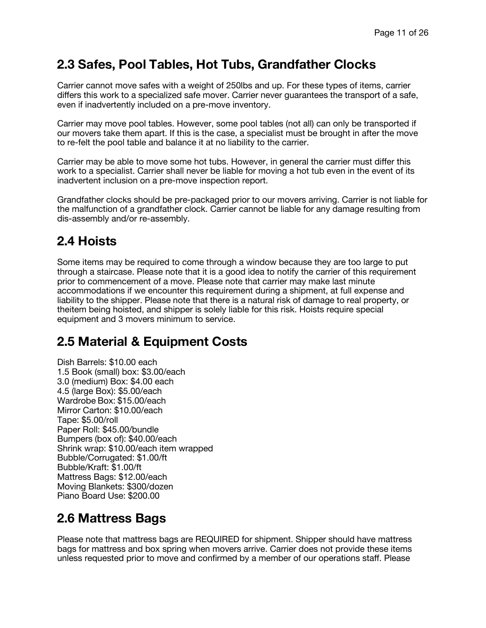## **2.3 Safes, Pool Tables, Hot Tubs, Grandfather Clocks**

Carrier cannot move safes with a weight of 250lbs and up. For these types of items, carrier differs this work to a specialized safe mover. Carrier never guarantees the transport of a safe, even if inadvertently included on a pre-move inventory.

Carrier may move pool tables. However, some pool tables (not all) can only be transported if our movers take them apart. If this is the case, a specialist must be brought in after the move to re-felt the pool table and balance it at no liability to the carrier.

Carrier may be able to move some hot tubs. However, in general the carrier must differ this work to a specialist. Carrier shall never be liable for moving a hot tub even in the event of its inadvertent inclusion on a pre-move inspection report.

Grandfather clocks should be pre-packaged prior to our movers arriving. Carrier is not liable for the malfunction of a grandfather clock. Carrier cannot be liable for any damage resulting from dis-assembly and/or re-assembly.

## **2.4 Hoists**

Some items may be required to come through a window because they are too large to put through a staircase. Please note that it is a good idea to notify the carrier of this requirement prior to commencement of a move. Please note that carrier may make last minute accommodations if we encounter this requirement during a shipment, at full expense and liability to the shipper. Please note that there is a natural risk of damage to real property, or theitem being hoisted, and shipper is solely liable for this risk. Hoists require special equipment and 3 movers minimum to service.

## **2.5 Material & Equipment Costs**

Dish Barrels: \$10.00 each 1.5 Book (small) box: \$3.00/each 3.0 (medium) Box: \$4.00 each 4.5 (large Box): \$5.00/each Wardrobe Box: \$15.00/each Mirror Carton: \$10.00/each Tape: \$5.00/roll Paper Roll: \$45.00/bundle Bumpers (box of): \$40.00/each Shrink wrap: \$10.00/each item wrapped Bubble/Corrugated: \$1.00/ft Bubble/Kraft: \$1.00/ft Mattress Bags: \$12.00/each Moving Blankets: \$300/dozen Piano Board Use: \$200.00

## **2.6 Mattress Bags**

Please note that mattress bags are REQUIRED for shipment. Shipper should have mattress bags for mattress and box spring when movers arrive. Carrier does not provide these items unless requested prior to move and confirmed by a member of our operations staff. Please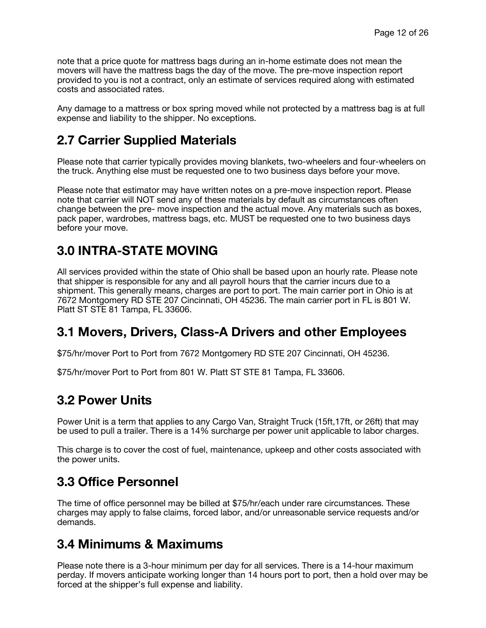note that a price quote for mattress bags during an in-home estimate does not mean the movers will have the mattress bags the day of the move. The pre-move inspection report provided to you is not a contract, only an estimate of services required along with estimated costs and associated rates.

Any damage to a mattress or box spring moved while not protected by a mattress bag is at full expense and liability to the shipper. No exceptions.

## **2.7 Carrier Supplied Materials**

Please note that carrier typically provides moving blankets, two-wheelers and four-wheelers on the truck. Anything else must be requested one to two business days before your move.

Please note that estimator may have written notes on a pre-move inspection report. Please note that carrier will NOT send any of these materials by default as circumstances often change between the pre- move inspection and the actual move. Any materials such as boxes, pack paper, wardrobes, mattress bags, etc. MUST be requested one to two business days before your move.

## **3.0 INTRA-STATE MOVING**

All services provided within the state of Ohio shall be based upon an hourly rate. Please note that shipper is responsible for any and all payroll hours that the carrier incurs due to a shipment. This generally means, charges are port to port. The main carrier port in Ohio is at 7672 Montgomery RD STE 207 Cincinnati, OH 45236. The main carrier port in FL is 801 W. Platt ST STE 81 Tampa, FL 33606.

### **3.1 Movers, Drivers, Class-A Drivers and other Employees**

\$75/hr/mover Port to Port from 7672 Montgomery RD STE 207 Cincinnati, OH 45236.

\$75/hr/mover Port to Port from 801 W. Platt ST STE 81 Tampa, FL 33606.

### **3.2 Power Units**

Power Unit is a term that applies to any Cargo Van, Straight Truck (15ft,17ft, or 26ft) that may be used to pull a trailer. There is a 14% surcharge per power unit applicable to labor charges.

This charge is to cover the cost of fuel, maintenance, upkeep and other costs associated with the power units.

### **3.3 Office Personnel**

The time of office personnel may be billed at \$75/hr/each under rare circumstances. These charges may apply to false claims, forced labor, and/or unreasonable service requests and/or demands.

### **3.4 Minimums & Maximums**

Please note there is a 3-hour minimum per day for all services. There is a 14-hour maximum perday. If movers anticipate working longer than 14 hours port to port, then a hold over may be forced at the shipper's full expense and liability.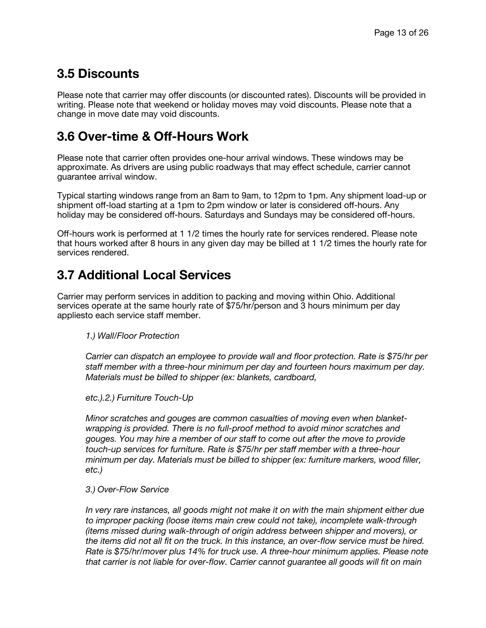## **3.5 Discounts**

Please note that carrier may offer discounts (or discounted rates). Discounts will be provided in writing. Please note that weekend or holiday moves may void discounts. Please note that a change in move date may void discounts.

## **3.6 Over-time & Off-Hours Work**

Please note that carrier often provides one-hour arrival windows. These windows may be approximate. As drivers are using public roadways that may effect schedule, carrier cannot guarantee arrival window.

Typical starting windows range from an 8am to 9am, to 12pm to 1pm. Any shipment load-up or shipment off-load starting at a 1pm to 2pm window or later is considered off-hours. Any holiday may be considered off-hours. Saturdays and Sundays may be considered off-hours.

Off-hours work is performed at 1 1/2 times the hourly rate for services rendered. Please note that hours worked after 8 hours in any given day may be billed at 1 1/2 times the hourly rate for services rendered.

## **3.7 Additional Local Services**

Carrier may perform services in addition to packing and moving within Ohio. Additional services operate at the same hourly rate of \$75/hr/person and 3 hours minimum per day appliesto each service staff member.

*1.) Wall/Floor Protection*

*Carrier can dispatch an employee to provide wall and floor protection. Rate is \$75/hr per staff member with a three-hour minimum per day and fourteen hours maximum per day. Materials must be billed to shipper (ex: blankets, cardboard,*

*etc.).2.) Furniture Touch-Up*

*Minor scratches and gouges are common casualties of moving even when blanketwrapping is provided. There is no full-proof method to avoid minor scratches and gouges. You may hire a member of our staff to come out after the move to provide touch-up services for furniture. Rate is \$75/hr per staff member with a three-hour minimum per day. Materials must be billed to shipper (ex: furniture markers, wood filler, etc.)* 

*3.) Over-Flow Service*

*In very rare instances, all goods might not make it on with the main shipment either due to improper packing (loose items main crew could not take), incomplete walk-through (items missed during walk-through of origin address between shipper and movers), or the items did not all fit on the truck. In this instance, an over-flow service must be hired. Rate is \$75/hr/mover plus 14% for truck use. A three-hour minimum applies. Please note that carrier is not liable for over-flow. Carrier cannot guarantee all goods will fit on main*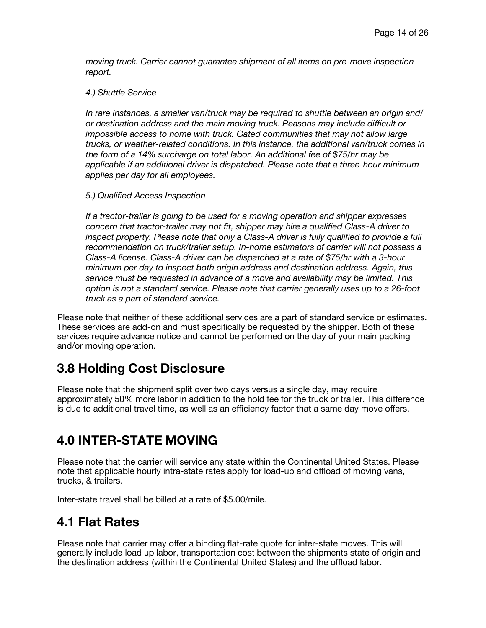*moving truck. Carrier cannot guarantee shipment of all items on pre-move inspection report.*

#### *4.) Shuttle Service*

*In rare instances, a smaller van/truck may be required to shuttle between an origin and/ or destination address and the main moving truck. Reasons may include difficult or impossible access to home with truck. Gated communities that may not allow large trucks, or weather-related conditions. In this instance, the additional van/truck comes in the form of a 14% surcharge on total labor. An additional fee of \$75/hr may be applicable if an additional driver is dispatched. Please note that a three-hour minimum applies per day for all employees.*

#### *5.) Qualified Access Inspection*

*If a tractor-trailer is going to be used for a moving operation and shipper expresses concern that tractor-trailer may not fit, shipper may hire a qualified Class-A driver to inspect property. Please note that only a Class-A driver is fully qualified to provide a full recommendation on truck/trailer setup. In-home estimators of carrier will not possess a Class-A license. Class-A driver can be dispatched at a rate of \$75/hr with a 3-hour minimum per day to inspect both origin address and destination address. Again, this service must be requested in advance of a move and availability may be limited. This option is not a standard service. Please note that carrier generally uses up to a 26-foot truck as a part of standard service.*

Please note that neither of these additional services are a part of standard service or estimates. These services are add-on and must specifically be requested by the shipper. Both of these services require advance notice and cannot be performed on the day of your main packing and/or moving operation.

### **3.8 Holding Cost Disclosure**

Please note that the shipment split over two days versus a single day, may require approximately 50% more labor in addition to the hold fee for the truck or trailer. This difference is due to additional travel time, as well as an efficiency factor that a same day move offers.

### **4.0 INTER-STATE MOVING**

Please note that the carrier will service any state within the Continental United States. Please note that applicable hourly intra-state rates apply for load-up and offload of moving vans, trucks, & trailers.

Inter-state travel shall be billed at a rate of \$5.00/mile.

#### **4.1 Flat Rates**

Please note that carrier may offer a binding flat-rate quote for inter-state moves. This will generally include load up labor, transportation cost between the shipments state of origin and the destination address (within the Continental United States) and the offload labor.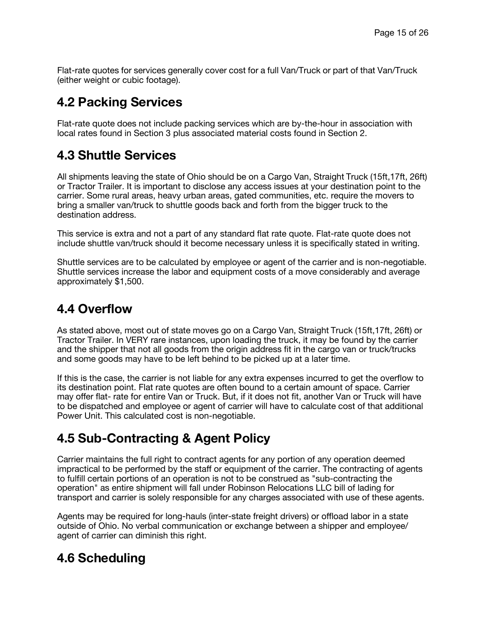Flat-rate quotes for services generally cover cost for a full Van/Truck or part of that Van/Truck (either weight or cubic footage).

## **4.2 Packing Services**

Flat-rate quote does not include packing services which are by-the-hour in association with local rates found in Section 3 plus associated material costs found in Section 2.

## **4.3 Shuttle Services**

All shipments leaving the state of Ohio should be on a Cargo Van, Straight Truck (15ft,17ft, 26ft) or Tractor Trailer. It is important to disclose any access issues at your destination point to the carrier. Some rural areas, heavy urban areas, gated communities, etc. require the movers to bring a smaller van/truck to shuttle goods back and forth from the bigger truck to the destination address.

This service is extra and not a part of any standard flat rate quote. Flat-rate quote does not include shuttle van/truck should it become necessary unless it is specifically stated in writing.

Shuttle services are to be calculated by employee or agent of the carrier and is non-negotiable. Shuttle services increase the labor and equipment costs of a move considerably and average approximately \$1,500.

#### **4.4 Overflow**

As stated above, most out of state moves go on a Cargo Van, Straight Truck (15ft,17ft, 26ft) or Tractor Trailer. In VERY rare instances, upon loading the truck, it may be found by the carrier and the shipper that not all goods from the origin address fit in the cargo van or truck/trucks and some goods may have to be left behind to be picked up at a later time.

If this is the case, the carrier is not liable for any extra expenses incurred to get the overflow to its destination point. Flat rate quotes are often bound to a certain amount of space. Carrier may offer flat- rate for entire Van or Truck. But, if it does not fit, another Van or Truck will have to be dispatched and employee or agent of carrier will have to calculate cost of that additional Power Unit. This calculated cost is non-negotiable.

## **4.5 Sub-Contracting & Agent Policy**

Carrier maintains the full right to contract agents for any portion of any operation deemed impractical to be performed by the staff or equipment of the carrier. The contracting of agents to fulfill certain portions of an operation is not to be construed as "sub-contracting the operation" as entire shipment will fall under Robinson Relocations LLC bill of lading for transport and carrier is solely responsible for any charges associated with use of these agents.

Agents may be required for long-hauls (inter-state freight drivers) or offload labor in a state outside of Ohio. No verbal communication or exchange between a shipper and employee/ agent of carrier can diminish this right.

## **4.6 Scheduling**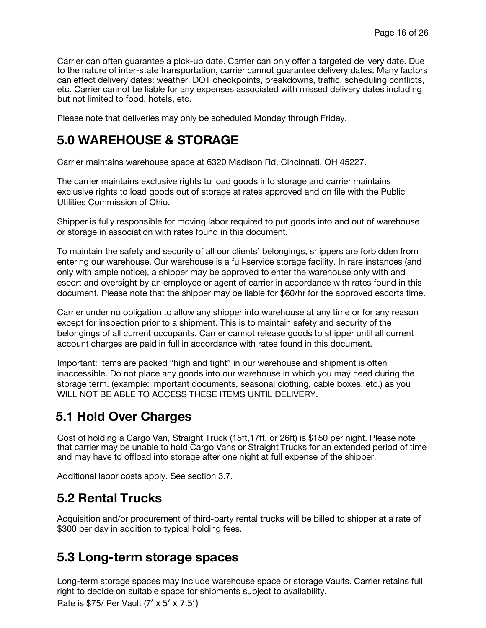Carrier can often guarantee a pick-up date. Carrier can only offer a targeted delivery date. Due to the nature of inter-state transportation, carrier cannot guarantee delivery dates. Many factors can effect delivery dates; weather, DOT checkpoints, breakdowns, traffic, scheduling conflicts, etc. Carrier cannot be liable for any expenses associated with missed delivery dates including but not limited to food, hotels, etc.

Please note that deliveries may only be scheduled Monday through Friday.

## **5.0 WAREHOUSE & STORAGE**

Carrier maintains warehouse space at 6320 Madison Rd, Cincinnati, OH 45227.

The carrier maintains exclusive rights to load goods into storage and carrier maintains exclusive rights to load goods out of storage at rates approved and on file with the Public Utilities Commission of Ohio.

Shipper is fully responsible for moving labor required to put goods into and out of warehouse or storage in association with rates found in this document.

To maintain the safety and security of all our clients' belongings, shippers are forbidden from entering our warehouse. Our warehouse is a full-service storage facility. In rare instances (and only with ample notice), a shipper may be approved to enter the warehouse only with and escort and oversight by an employee or agent of carrier in accordance with rates found in this document. Please note that the shipper may be liable for \$60/hr for the approved escorts time.

Carrier under no obligation to allow any shipper into warehouse at any time or for any reason except for inspection prior to a shipment. This is to maintain safety and security of the belongings of all current occupants. Carrier cannot release goods to shipper until all current account charges are paid in full in accordance with rates found in this document.

Important: Items are packed "high and tight" in our warehouse and shipment is often inaccessible. Do not place any goods into our warehouse in which you may need during the storage term. (example: important documents, seasonal clothing, cable boxes, etc.) as you WILL NOT BE ABLE TO ACCESS THESE ITEMS UNTIL DELIVERY.

## **5.1 Hold Over Charges**

Cost of holding a Cargo Van, Straight Truck (15ft,17ft, or 26ft) is \$150 per night. Please note that carrier may be unable to hold Cargo Vans or Straight Trucks for an extended period of time and may have to offload into storage after one night at full expense of the shipper.

Additional labor costs apply. See section 3.7.

### **5.2 Rental Trucks**

Acquisition and/or procurement of third-party rental trucks will be billed to shipper at a rate of \$300 per day in addition to typical holding fees.

### **5.3 Long-term storage spaces**

Long-term storage spaces may include warehouse space or storage Vaults. Carrier retains full right to decide on suitable space for shipments subject to availability.

Rate is \$75/ Per Vault (7' x 5' x 7.5')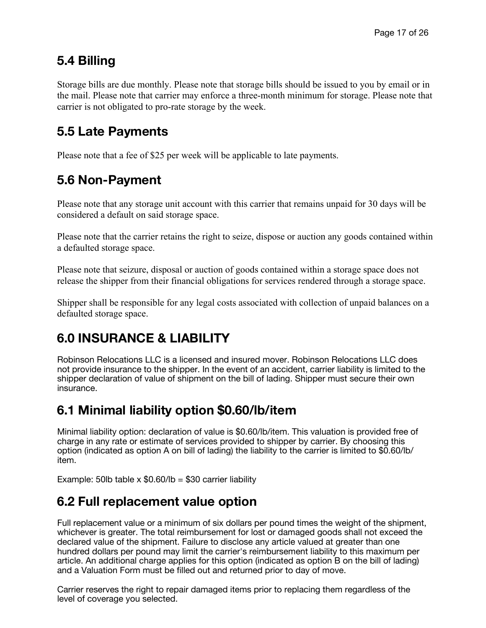## **5.4 Billing**

Storage bills are due monthly. Please note that storage bills should be issued to you by email or in the mail. Please note that carrier may enforce a three-month minimum for storage. Please note that carrier is not obligated to pro-rate storage by the week.

## **5.5 Late Payments**

Please note that a fee of \$25 per week will be applicable to late payments.

## **5.6 Non-Payment**

Please note that any storage unit account with this carrier that remains unpaid for 30 days will be considered a default on said storage space.

Please note that the carrier retains the right to seize, dispose or auction any goods contained within a defaulted storage space.

Please note that seizure, disposal or auction of goods contained within a storage space does not release the shipper from their financial obligations for services rendered through a storage space.

Shipper shall be responsible for any legal costs associated with collection of unpaid balances on a defaulted storage space.

## **6.0 INSURANCE & LIABILITY**

Robinson Relocations LLC is a licensed and insured mover. Robinson Relocations LLC does not provide insurance to the shipper. In the event of an accident, carrier liability is limited to the shipper declaration of value of shipment on the bill of lading. Shipper must secure their own insurance.

## **6.1 Minimal liability option \$0.60/lb/item**

Minimal liability option: declaration of value is \$0.60/lb/item. This valuation is provided free of charge in any rate or estimate of services provided to shipper by carrier. By choosing this option (indicated as option A on bill of lading) the liability to the carrier is limited to \$0.60/lb/ item.

Example: 50lb table x  $$0.60$ /lb = \$30 carrier liability

## **6.2 Full replacement value option**

Full replacement value or a minimum of six dollars per pound times the weight of the shipment, whichever is greater. The total reimbursement for lost or damaged goods shall not exceed the declared value of the shipment. Failure to disclose any article valued at greater than one hundred dollars per pound may limit the carrier's reimbursement liability to this maximum per article. An additional charge applies for this option (indicated as option B on the bill of lading) and a Valuation Form must be filled out and returned prior to day of move.

Carrier reserves the right to repair damaged items prior to replacing them regardless of the level of coverage you selected.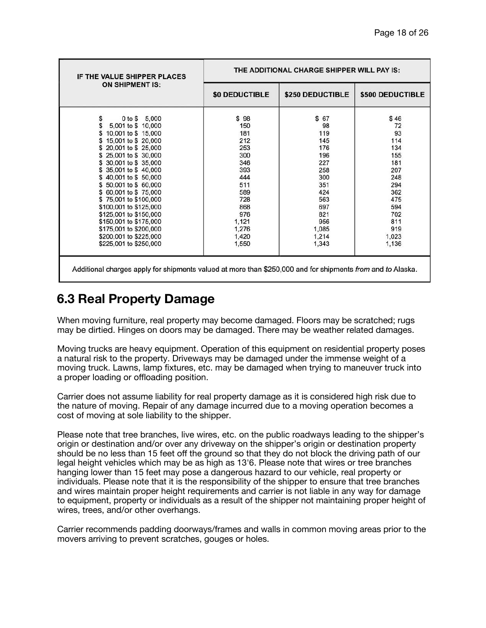| IF THE VALUE SHIPPER PLACES<br><b>ON SHIPMENT IS:</b>                                                                                                                                                                                                                                                                                                                                         | THE ADDITIONAL CHARGE SHIPPER WILL PAY IS:                                                                        |                                                                                                                 |                                                                                                             |
|-----------------------------------------------------------------------------------------------------------------------------------------------------------------------------------------------------------------------------------------------------------------------------------------------------------------------------------------------------------------------------------------------|-------------------------------------------------------------------------------------------------------------------|-----------------------------------------------------------------------------------------------------------------|-------------------------------------------------------------------------------------------------------------|
|                                                                                                                                                                                                                                                                                                                                                                                               | <b>\$0 DEDUCTIBLE</b>                                                                                             | \$250 DEDUCTIBLE                                                                                                | \$500 DEDUCTIBLE                                                                                            |
| 5,000<br>0 to \$<br>\$<br>Տ<br>5,001 to \$ 10,000<br>10,001 to \$15,000<br>15,001 to \$20,000<br>20,001 to \$25,000<br>25,001 to \$ 30,000<br>30,001 to \$35,000<br>35,001 to \$40,000<br>\$40,001 to \$50,000<br>50,001 to \$60,000<br>\$60,001 to \$75,000<br>\$75,001 to \$100,000<br>\$100,001 to \$125,000<br>\$125,001 to \$150,000<br>\$150,001 to \$175,000<br>\$175,001 to \$200,000 | \$98<br>150<br>181<br>212<br>253<br>300<br>346<br>393<br>444<br>511<br>589<br>728<br>868<br>976<br>1,121<br>1,276 | \$ 67<br>98<br>119<br>145<br>176<br>196<br>227<br>258<br>300<br>351<br>424<br>563<br>697<br>821<br>956<br>1,085 | \$46<br>72<br>93<br>114<br>134<br>155<br>181<br>207<br>248<br>294<br>362<br>475<br>594<br>702<br>811<br>919 |
| \$200,001 to \$225,000<br>\$225,001 to \$250,000                                                                                                                                                                                                                                                                                                                                              | 1,420<br>1,550                                                                                                    | 1,214<br>1,343                                                                                                  | 1,023<br>1,136                                                                                              |
| Additional charges apply for shipments valued at more than \$250,000 and for shipments from and to Alaska.                                                                                                                                                                                                                                                                                    |                                                                                                                   |                                                                                                                 |                                                                                                             |

## **6.3 Real Property Damage**

When moving furniture, real property may become damaged. Floors may be scratched; rugs may be dirtied. Hinges on doors may be damaged. There may be weather related damages.

Moving trucks are heavy equipment. Operation of this equipment on residential property poses a natural risk to the property. Driveways may be damaged under the immense weight of a moving truck. Lawns, lamp fixtures, etc. may be damaged when trying to maneuver truck into a proper loading or offloading position.

Carrier does not assume liability for real property damage as it is considered high risk due to the nature of moving. Repair of any damage incurred due to a moving operation becomes a cost of moving at sole liability to the shipper.

Please note that tree branches, live wires, etc. on the public roadways leading to the shipper's origin or destination and/or over any driveway on the shipper's origin or destination property should be no less than 15 feet off the ground so that they do not block the driving path of our legal height vehicles which may be as high as 13'6. Please note that wires or tree branches hanging lower than 15 feet may pose a dangerous hazard to our vehicle, real property or individuals. Please note that it is the responsibility of the shipper to ensure that tree branches and wires maintain proper height requirements and carrier is not liable in any way for damage to equipment, property or individuals as a result of the shipper not maintaining proper height of wires, trees, and/or other overhangs.

Carrier recommends padding doorways/frames and walls in common moving areas prior to the movers arriving to prevent scratches, gouges or holes.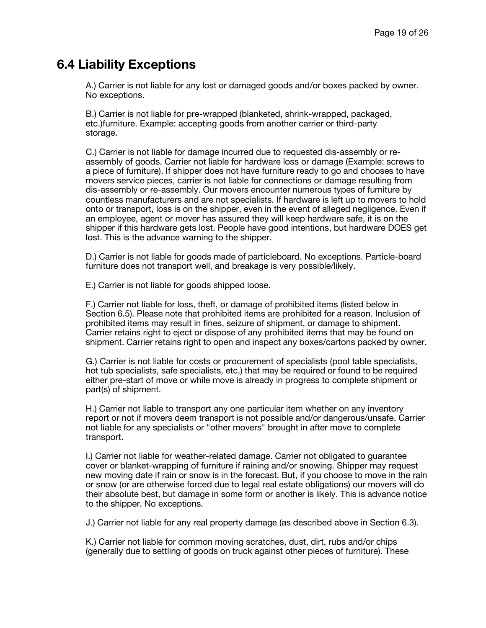#### **6.4 Liability Exceptions**

A.) Carrier is not liable for any lost or damaged goods and/or boxes packed by owner. No exceptions.

B.) Carrier is not liable for pre-wrapped (blanketed, shrink-wrapped, packaged, etc.) furniture. Example: accepting goods from another carrier or third-party storage.

C.) Carrier is not liable for damage incurred due to requested dis-assembly or reassembly of goods. Carrier not liable for hardware loss or damage (Example: screws to a piece of furniture). If shipper does not have furniture ready to go and chooses to have movers service pieces, carrier is not liable for connections or damage resulting from dis-assembly or re-assembly. Our movers encounter numerous types of furniture by countless manufacturers and are not specialists. If hardware is left up to movers to hold onto or transport, loss is on the shipper, even in the event of alleged negligence. Even if an employee, agent or mover has assured they will keep hardware safe, it is on the shipper if this hardware gets lost. People have good intentions, but hardware DOES get lost. This is the advance warning to the shipper.

D.) Carrier is not liable for goods made of particleboard. No exceptions. Particle-board furniture does not transport well, and breakage is very possible/likely.

E.) Carrier is not liable for goods shipped loose.

F.) Carrier not liable for loss, theft, or damage of prohibited items (listed below in Section 6.5). Please note that prohibited items are prohibited for a reason. Inclusion of prohibited items may result in fines, seizure of shipment, or damage to shipment. Carrier retains right to eject or dispose of any prohibited items that may be found on shipment. Carrier retains right to open and inspect any boxes/cartons packed by owner.

G.) Carrier is not liable for costs or procurement of specialists (pool table specialists, hot tub specialists, safe specialists, etc.) that may be required or found to be required either pre-start of move or while move is already in progress to complete shipment or part(s) of shipment.

H.) Carrier not liable to transport any one particular item whether on any inventory report or not if movers deem transport is not possible and/or dangerous/unsafe. Carrier not liable for any specialists or "other movers" brought in after move to complete transport.

I.) Carrier not liable for weather-related damage. Carrier not obligated to guarantee cover or blanket-wrapping of furniture if raining and/or snowing. Shipper may request new moving date if rain or snow is in the forecast. But, if you choose to move in the rain or snow (or are otherwise forced due to legal real estate obligations) our movers will do their absolute best, but damage in some form or another is likely. This is advance notice to the shipper. No exceptions.

J.) Carrier not liable for any real property damage (as described above in Section 6.3).

K.) Carrier not liable for common moving scratches, dust, dirt, rubs and/or chips (generally due to settling of goods on truck against other pieces of furniture). These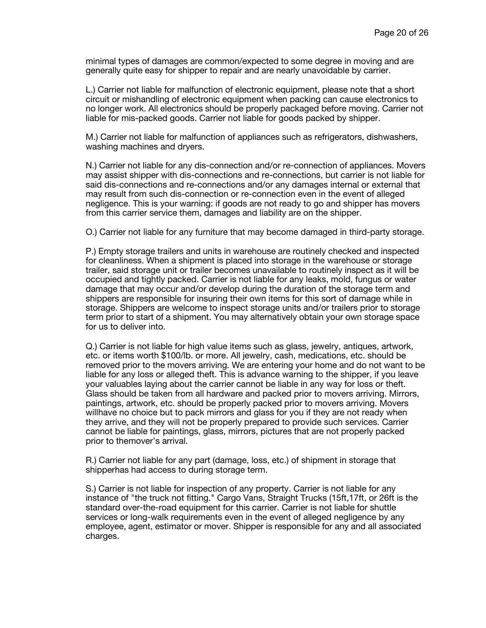minimal types of damages are common/expected to some degree in moving and are generally quite easy for shipper to repair and are nearly unavoidable by carrier.

L.) Carrier not liable for malfunction of electronic equipment, please note that a short circuit or mishandling of electronic equipment when packing can cause electronics to no longer work. All electronics should be properly packaged before moving. Carrier not liable for mis-packed goods. Carrier not liable for goods packed by shipper.

M.) Carrier not liable for malfunction of appliances such as refrigerators, dishwashers, washing machines and dryers.

N.) Carrier not liable for any dis-connection and/or re-connection of appliances. Movers may assist shipper with dis-connections and re-connections, but carrier is not liable for said dis-connections and re-connections and/or any damages internal or external that may result from such dis-connection or re-connection even in the event of alleged negligence. This is your warning: if goods are not ready to go and shipper has movers from this carrier service them, damages and liability are on the shipper.

O.) Carrier not liable for any furniture that may become damaged in third-party storage.

P.) Empty storage trailers and units in warehouse are routinely checked and inspected for cleanliness. When a shipment is placed into storage in the warehouse or storage trailer, said storage unit or trailer becomes unavailable to routinely inspect as it will be occupied and tightly packed. Carrier is not liable for any leaks, mold, fungus or water damage that may occur and/or develop during the duration of the storage term and shippers are responsible for insuring their own items for this sort of damage while in storage. Shippers are welcome to inspect storage units and/or trailers prior to storage term prior to start of a shipment. You may alternatively obtain your own storage space for us to deliver into.

Q.) Carrier is not liable for high value items such as glass, jewelry, antiques, artwork, etc. or items worth \$100/lb. or more. All jewelry, cash, medications, etc. should be removed prior to the movers arriving. We are entering your home and do not want to be liable for any loss or alleged theft. This is advance warning to the shipper, if you leave your valuables laying about the carrier cannot be liable in any way for loss or theft. Glass should be taken from all hardware and packed prior to movers arriving. Mirrors, paintings, artwork, etc. should be properly packed prior to movers arriving. Movers willhave no choice but to pack mirrors and glass for you if they are not ready when they arrive, and they will not be properly prepared to provide such services. Carrier cannot be liable for paintings, glass, mirrors, pictures that are not properly packed prior to themover's arrival.

R.) Carrier not liable for any part (damage, loss, etc.) of shipment in storage that shipperhas had access to during storage term.

S.) Carrier is not liable for inspection of any property. Carrier is not liable for any instance of "the truck not fitting." Cargo Vans, Straight Trucks (15ft,17ft, or 26ft is the standard over-the-road equipment for this carrier. Carrier is not liable for shuttle services or long-walk requirements even in the event of alleged negligence by any employee, agent, estimator or mover. Shipper is responsible for any and all associated charges.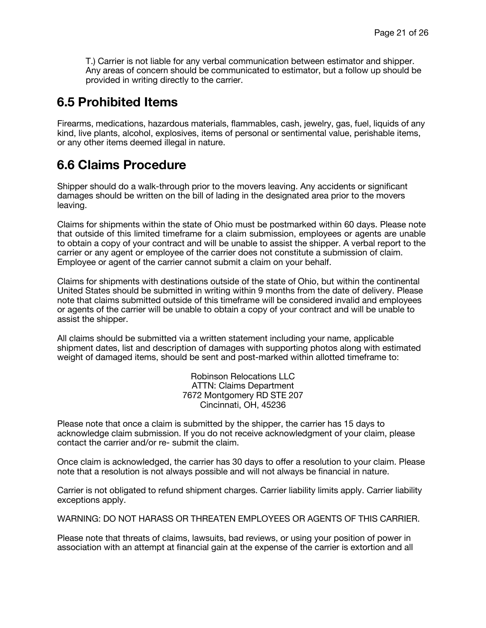T.) Carrier is not liable for any verbal communication between estimator and shipper. Any areas of concern should be communicated to estimator, but a follow up should be provided in writing directly to the carrier.

#### **6.5 Prohibited Items**

Firearms, medications, hazardous materials, flammables, cash, jewelry, gas, fuel, liquids of any kind, live plants, alcohol, explosives, items of personal or sentimental value, perishable items, or any other items deemed illegal in nature.

### **6.6 Claims Procedure**

Shipper should do a walk-through prior to the movers leaving. Any accidents or significant damages should be written on the bill of lading in the designated area prior to the movers leaving.

Claims for shipments within the state of Ohio must be postmarked within 60 days. Please note that outside of this limited timeframe for a claim submission, employees or agents are unable to obtain a copy of your contract and will be unable to assist the shipper. A verbal report to the carrier or any agent or employee of the carrier does not constitute a submission of claim. Employee or agent of the carrier cannot submit a claim on your behalf.

Claims for shipments with destinations outside of the state of Ohio, but within the continental United States should be submitted in writing within 9 months from the date of delivery. Please note that claims submitted outside of this timeframe will be considered invalid and employees or agents of the carrier will be unable to obtain a copy of your contract and will be unable to assist the shipper.

All claims should be submitted via a written statement including your name, applicable shipment dates, list and description of damages with supporting photos along with estimated weight of damaged items, should be sent and post-marked within allotted timeframe to:

> Robinson Relocations LLC ATTN: Claims Department 7672 Montgomery RD STE 207 Cincinnati, OH, 45236

Please note that once a claim is submitted by the shipper, the carrier has 15 days to acknowledge claim submission. If you do not receive acknowledgment of your claim, please contact the carrier and/or re- submit the claim.

Once claim is acknowledged, the carrier has 30 days to offer a resolution to your claim. Please note that a resolution is not always possible and will not always be financial in nature.

Carrier is not obligated to refund shipment charges. Carrier liability limits apply. Carrier liability exceptions apply.

WARNING: DO NOT HARASS OR THREATEN EMPLOYEES OR AGENTS OF THIS CARRIER.

Please note that threats of claims, lawsuits, bad reviews, or using your position of power in association with an attempt at financial gain at the expense of the carrier is extortion and all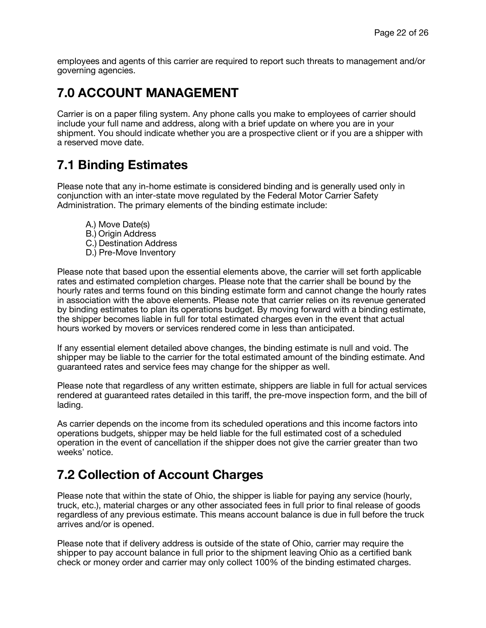employees and agents of this carrier are required to report such threats to management and/or governing agencies.

## **7.0 ACCOUNT MANAGEMENT**

Carrier is on a paper filing system. Any phone calls you make to employees of carrier should include your full name and address, along with a brief update on where you are in your shipment. You should indicate whether you are a prospective client or if you are a shipper with a reserved move date.

## **7.1 Binding Estimates**

Please note that any in-home estimate is considered binding and is generally used only in conjunction with an inter-state move regulated by the Federal Motor Carrier Safety Administration. The primary elements of the binding estimate include:

A.) Move Date(s) B.) Origin Address C.) Destination Address D.) Pre-Move Inventory

Please note that based upon the essential elements above, the carrier will set forth applicable rates and estimated completion charges. Please note that the carrier shall be bound by the hourly rates and terms found on this binding estimate form and cannot change the hourly rates in association with the above elements. Please note that carrier relies on its revenue generated by binding estimates to plan its operations budget. By moving forward with a binding estimate, the shipper becomes liable in full for total estimated charges even in the event that actual hours worked by movers or services rendered come in less than anticipated.

If any essential element detailed above changes, the binding estimate is null and void. The shipper may be liable to the carrier for the total estimated amount of the binding estimate. And guaranteed rates and service fees may change for the shipper as well.

Please note that regardless of any written estimate, shippers are liable in full for actual services rendered at guaranteed rates detailed in this tariff, the pre-move inspection form, and the bill of lading.

As carrier depends on the income from its scheduled operations and this income factors into operations budgets, shipper may be held liable for the full estimated cost of a scheduled operation in the event of cancellation if the shipper does not give the carrier greater than two weeks' notice.

## **7.2 Collection of Account Charges**

Please note that within the state of Ohio, the shipper is liable for paying any service (hourly, truck, etc.), material charges or any other associated fees in full prior to final release of goods regardless of any previous estimate. This means account balance is due in full before the truck arrives and/or is opened.

Please note that if delivery address is outside of the state of Ohio, carrier may require the shipper to pay account balance in full prior to the shipment leaving Ohio as a certified bank check or money order and carrier may only collect 100% of the binding estimated charges.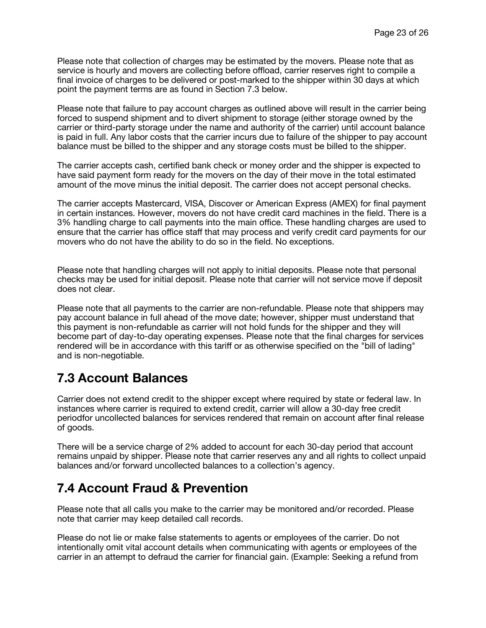Please note that collection of charges may be estimated by the movers. Please note that as service is hourly and movers are collecting before offload, carrier reserves right to compile a final invoice of charges to be delivered or post-marked to the shipper within 30 days at which point the payment terms are as found in Section 7.3 below.

Please note that failure to pay account charges as outlined above will result in the carrier being forced to suspend shipment and to divert shipment to storage (either storage owned by the carrier or third-party storage under the name and authority of the carrier) until account balance is paid in full. Any labor costs that the carrier incurs due to failure of the shipper to pay account balance must be billed to the shipper and any storage costs must be billed to the shipper.

The carrier accepts cash, certified bank check or money order and the shipper is expected to have said payment form ready for the movers on the day of their move in the total estimated amount of the move minus the initial deposit. The carrier does not accept personal checks.

The carrier accepts Mastercard, VISA, Discover or American Express (AMEX) for final payment in certain instances. However, movers do not have credit card machines in the field. There is a 3% handling charge to call payments into the main office. These handling charges are used to ensure that the carrier has office staff that may process and verify credit card payments for our movers who do not have the ability to do so in the field. No exceptions.

Please note that handling charges will not apply to initial deposits. Please note that personal checks may be used for initial deposit. Please note that carrier will not service move if deposit does not clear.

Please note that all payments to the carrier are non-refundable. Please note that shippers may pay account balance in full ahead of the move date; however, shipper must understand that this payment is non-refundable as carrier will not hold funds for the shipper and they will become part of day-to-day operating expenses. Please note that the final charges for services rendered will be in accordance with this tariff or as otherwise specified on the "bill of lading" and is non-negotiable.

## **7.3 Account Balances**

Carrier does not extend credit to the shipper except where required by state or federal law. In instances where carrier is required to extend credit, carrier will allow a 30-day free credit periodfor uncollected balances for services rendered that remain on account after final release of goods.

There will be a service charge of 2% added to account for each 30-day period that account remains unpaid by shipper. Please note that carrier reserves any and all rights to collect unpaid balances and/or forward uncollected balances to a collection's agency.

### **7.4 Account Fraud & Prevention**

Please note that all calls you make to the carrier may be monitored and/or recorded. Please note that carrier may keep detailed call records.

Please do not lie or make false statements to agents or employees of the carrier. Do not intentionally omit vital account details when communicating with agents or employees of the carrier in an attempt to defraud the carrier for financial gain. (Example: Seeking a refund from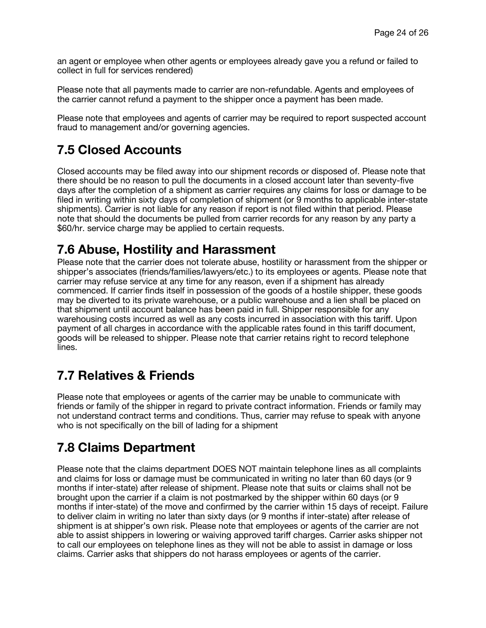an agent or employee when other agents or employees already gave you a refund or failed to collect in full for services rendered)

Please note that all payments made to carrier are non-refundable. Agents and employees of the carrier cannot refund a payment to the shipper once a payment has been made.

Please note that employees and agents of carrier may be required to report suspected account fraud to management and/or governing agencies.

## **7.5 Closed Accounts**

Closed accounts may be filed away into our shipment records or disposed of. Please note that there should be no reason to pull the documents in a closed account later than seventy-five days after the completion of a shipment as carrier requires any claims for loss or damage to be filed in writing within sixty days of completion of shipment (or 9 months to applicable inter-state shipments). Carrier is not liable for any reason if report is not filed within that period. Please note that should the documents be pulled from carrier records for any reason by any party a \$60/hr. service charge may be applied to certain requests.

## **7.6 Abuse, Hostility and Harassment**

Please note that the carrier does not tolerate abuse, hostility or harassment from the shipper or shipper's associates (friends/families/lawyers/etc.) to its employees or agents. Please note that carrier may refuse service at any time for any reason, even if a shipment has already commenced. If carrier finds itself in possession of the goods of a hostile shipper, these goods may be diverted to its private warehouse, or a public warehouse and a lien shall be placed on that shipment until account balance has been paid in full. Shipper responsible for any warehousing costs incurred as well as any costs incurred in association with this tariff. Upon payment of all charges in accordance with the applicable rates found in this tariff document, goods will be released to shipper. Please note that carrier retains right to record telephone lines.

## **7.7 Relatives & Friends**

Please note that employees or agents of the carrier may be unable to communicate with friends or family of the shipper in regard to private contract information. Friends or family may not understand contract terms and conditions. Thus, carrier may refuse to speak with anyone who is not specifically on the bill of lading for a shipment

## **7.8 Claims Department**

Please note that the claims department DOES NOT maintain telephone lines as all complaints and claims for loss or damage must be communicated in writing no later than 60 days (or 9 months if inter-state) after release of shipment. Please note that suits or claims shall not be brought upon the carrier if a claim is not postmarked by the shipper within 60 days (or 9 months if inter-state) of the move and confirmed by the carrier within 15 days of receipt. Failure to deliver claim in writing no later than sixty days (or 9 months if inter-state) after release of shipment is at shipper's own risk. Please note that employees or agents of the carrier are not able to assist shippers in lowering or waiving approved tariff charges. Carrier asks shipper not to call our employees on telephone lines as they will not be able to assist in damage or loss claims. Carrier asks that shippers do not harass employees or agents of the carrier.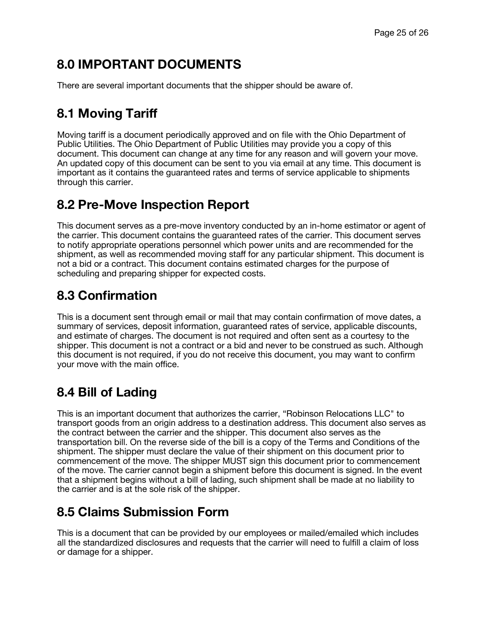## **8.0 IMPORTANT DOCUMENTS**

There are several important documents that the shipper should be aware of.

## **8.1 Moving Tariff**

Moving tariff is a document periodically approved and on file with the Ohio Department of Public Utilities. The Ohio Department of Public Utilities may provide you a copy of this document. This document can change at any time for any reason and will govern your move. An updated copy of this document can be sent to you via email at any time. This document is important as it contains the guaranteed rates and terms of service applicable to shipments through this carrier.

## **8.2 Pre-Move Inspection Report**

This document serves as a pre-move inventory conducted by an in-home estimator or agent of the carrier. This document contains the guaranteed rates of the carrier. This document serves to notify appropriate operations personnel which power units and are recommended for the shipment, as well as recommended moving staff for any particular shipment. This document is not a bid or a contract. This document contains estimated charges for the purpose of scheduling and preparing shipper for expected costs.

## **8.3 Confirmation**

This is a document sent through email or mail that may contain confirmation of move dates, a summary of services, deposit information, guaranteed rates of service, applicable discounts, and estimate of charges. The document is not required and often sent as a courtesy to the shipper. This document is not a contract or a bid and never to be construed as such. Although this document is not required, if you do not receive this document, you may want to confirm your move with the main office.

## **8.4 Bill of Lading**

This is an important document that authorizes the carrier, "Robinson Relocations LLC" to transport goods from an origin address to a destination address. This document also serves as the contract between the carrier and the shipper. This document also serves as the transportation bill. On the reverse side of the bill is a copy of the Terms and Conditions of the shipment. The shipper must declare the value of their shipment on this document prior to commencement of the move. The shipper MUST sign this document prior to commencement of the move. The carrier cannot begin a shipment before this document is signed. In the event that a shipment begins without a bill of lading, such shipment shall be made at no liability to the carrier and is at the sole risk of the shipper.

## **8.5 Claims Submission Form**

This is a document that can be provided by our employees or mailed/emailed which includes all the standardized disclosures and requests that the carrier will need to fulfill a claim of loss or damage for a shipper.